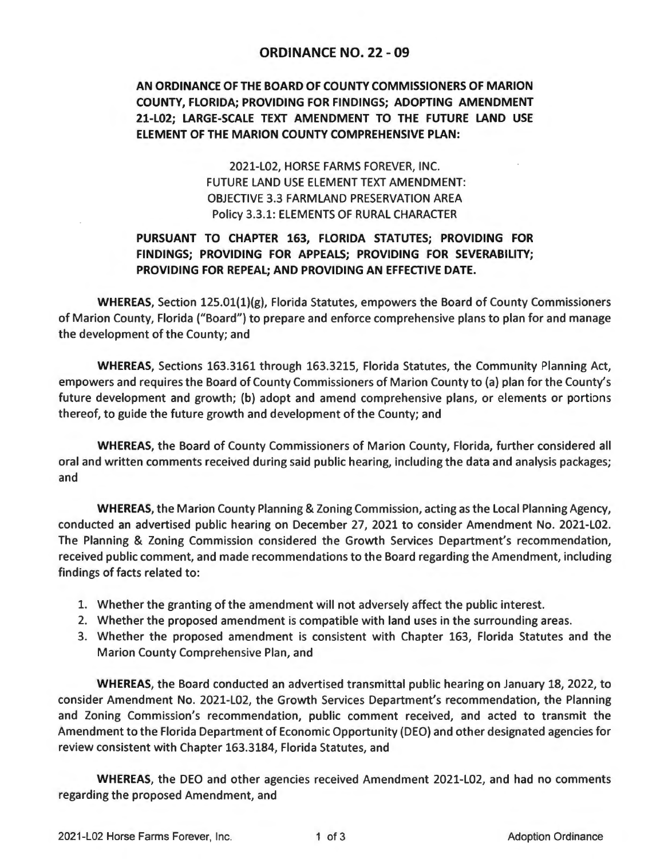## **ORDINANCE NO. 22 - 09**

## **AN ORDINANCE OF THE BOARD OF COUNTY COMMISSIONERS OF MARION COUNTY, FLORIDA; PROVIDING FOR FINDINGS; ADOPTING AMENDMENT 21-L02; LARGE-SCALE TEXT AMENDMENT TO THE FUTURE LAND USE ELEMENT OF THE MARION COUNTY COMPREHENSIVE PLAN:**

2021-L02, HORSE FARMS FOREVER, INC. FUTURE LAND USE ELEMENT TEXT AMENDMENT: OBJECTIVE 3.3 FARMLAND PRESERVATION AREA Policy 3.3.1: ELEMENTS OF RURAL CHARACTER

## **PURSUANT TO CHAPTER 163, FLORIDA STATUTES; PROVIDING FOR FINDINGS; PROVIDING FOR APPEALS; PROVIDING FOR SEVERABILITY; PROVIDING FOR REPEAL; AND PROVIDING AN EFFECTIVE DATE.**

WHEREAS, Section 125.01(1)(g), Florida Statutes, empowers the Board of County Commissioners of Marion County, Florida ("Board") to prepare and enforce comprehensive plans to plan for and manage the development of the County; and

**WHEREAS,** Sections 163.3161 through 163.3215, Florida Statutes, the Community Planning Act, empowers and requires the Board of County Commissioners of Marion County to (a) plan for the County's future development and growth; (b) adopt and amend comprehensive plans, or elements or portions thereof, to guide the future growth and development of the County; and

**WHEREAS,** the Board of County Commissioners of Marion County, Florida, further considered all oral and written comments received during said public hearing, including the data and analysis packages; and

**WHEREAS,** the Marion County Planning & Zoning Commission, acting as the Local Planning Agency, conducted an advertised public hearing on December 27, 2021 to consider Amendment No. 2021-L02. The Planning & Zoning Commission considered the Growth Services Department's recommendation, received public comment, and made recommendations to the Board regarding the Amendment, including findings of facts related to:

- 1. Whether the granting of the amendment will not adversely affect the public interest.
- 2. Whether the proposed amendment is compatible with land uses in the surrounding areas.
- 3. Whether the proposed amendment is consistent with Chapter 163, Florida Statutes and the Marion County Comprehensive Plan, and

**WHEREAS,** the Board conducted an advertised transmittal public hearing on January 18, 2022, to consider Amendment No. 2021-L02, the Growth Services Department's recommendation, the Planning and Zoning Commission's recommendation, public comment received, and acted to transmit the Amendment to the Florida Department of Economic Opportunity (DEO) and other designated agencies for review consistent with Chapter 163.3184, Florida Statutes, and

**WHEREAS,** the DEO and other agencies received Amendment 2021-L02, and had no comments regarding the proposed Amendment, and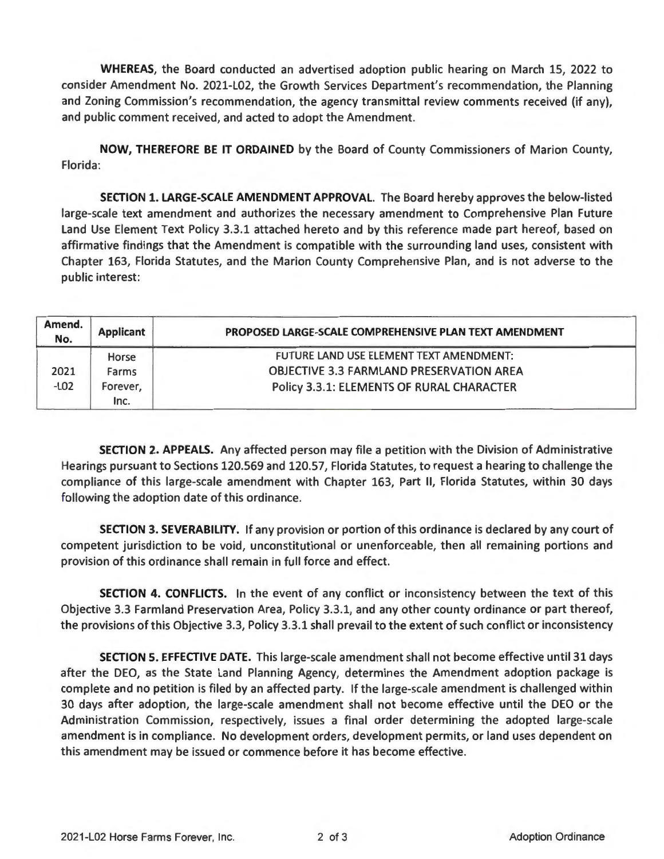**WHEREAS,** the Board conducted an advertised adoption public hearing on March 15, 2022 to consider Amendment No. 2021-L02, the Growth Services Department's recommendation, the Planning and Zoning Commission's recommendation, the agency transmittal review comments received (if any), and public comment received, and acted to adopt the Amendment.

**NOW, THEREFORE BE IT ORDAINED** by the Board of County Commissioners of Marion County, Florida:

**SECTION 1. LARGE-SCALE AMENDMENT APPROVAL.** The Board hereby approves the below-listed large-scale text amendment and authorizes the necessary amendment to Comprehensive Plan Future Land Use Element Text Policy 3.3.1 attached hereto and by this reference made part hereof, based on affirmative findings that the Amendment is compatible with the surrounding land uses, consistent with Chapter 163, Florida Statutes, and the Marion County Comprehensive Plan, and is not adverse to the public interest:

| Amend.<br>No.  | <b>Applicant</b> | PROPOSED LARGE-SCALE COMPREHENSIVE PLAN TEXT AMENDMENT                                     |
|----------------|------------------|--------------------------------------------------------------------------------------------|
| 2021<br>$-LO2$ | Horse<br>Farms   | FUTURE LAND USE ELEMENT TEXT AMENDMENT:<br><b>OBJECTIVE 3.3 FARMLAND PRESERVATION AREA</b> |
|                | Forever.<br>Inc. | Policy 3.3.1: ELEMENTS OF RURAL CHARACTER                                                  |

**SECTION 2. APPEALS.** Any affected person may file a petition with the Division of Administrative Hearings pursuant to Sections 120.569 and 120.57, Florida Statutes, to request a hearing to challenge the compliance of this large-scale amendment with Chapter 163, Part II, Florida Statutes, within 30 days following the adoption date of this ordinance.

**SECTION 3. SEVERABILITY.** If any provision or portion of this ordinance is declared by any court of competent jurisdiction to be void, unconstitutional or unenforceable, then all remaining portions and provision of this ordinance shall remain in full force and effect.

**SECTION 4. CONFLICTS.** In the event of any conflict or inconsistency between the text of this Objective 3.3 Farmland Preservation Area, Policy 3.3.1, and any other county ordinance or part thereof, the provisions of this Objective 3.3, Policy 3.3.1 shall prevail to the extent of such conflict or inconsistency

**SECTION 5. EFFECTIVE DATE.** This large-scale amendment shall not become effective until 31 days after the DEO, as the State Land Planning Agency, determines the Amendment adoption package is complete and no petition is filed by an affected party. If the large-scale amendment is challenged within 30 days after adoption, the large-scale amendment shall not become effective until the DEO or the Administration Commission, respectively, issues a final order determining the adopted large-scale amendment is in compliance. No development orders, development permits, or land uses dependent on this amendment may be issued or commence before it has become effective.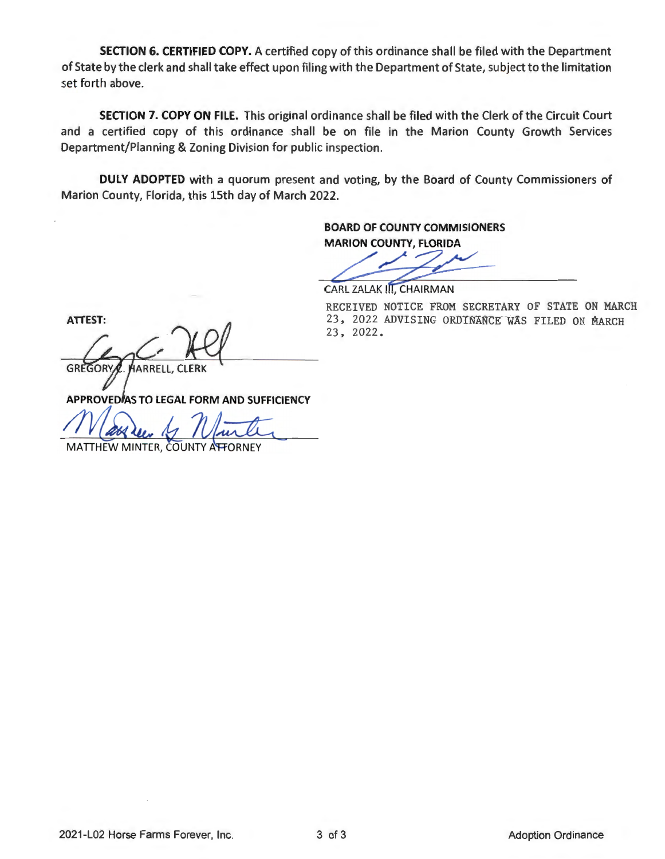**SECTION 6. CERTIFIED COPY.** A certified copy of this ordinance shall be filed with the Department of State by the clerk and shall take effect upon filing with the Department of State, subject to the limitation set forth above.

**SECTION 7. COPY ON FILE.** This original ordinance shall be filed with the Clerk of the Circuit Court and a certified copy of this ordinance shall be on file in the Marion County Growth Services Department/Planning & Zoning Division for public inspection.

**DULY ADOPTED** with a quorum present and voting, by the Board of County Commissioners of Marion County, Florida, this 15th day of March 2022.

> **BOARD OF COUNTY COMMISIONERS MARION COUNTY, FLORIDA**

DARD OF COUNTY COMMISIONERS<br>MARION COUNTY, FLORIDA

CARL ZALAK III. CHAIRMAN

**ATTEST:** 

GREGORY HARRELL, CLERK

RECEIVED NOTICE FROM SECRETARY OF STATE ON MARCH 23, 2022 ADVISING ORDINANCE WAS FILED ON MARCH 23, 2022.

APPROVED AS TO LEGAL FORM AND SUFFICIENCY

MATTHEW MINTER, COUNTY A